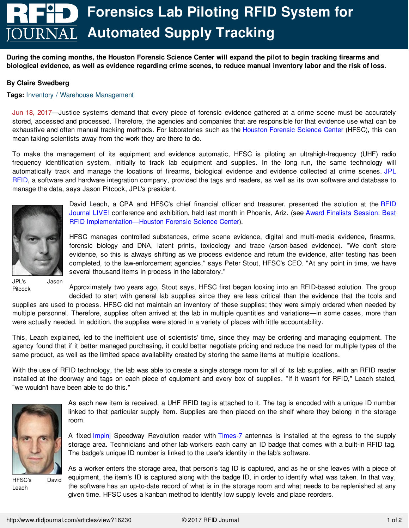## **Forensics Lab Piloting RFID System for Automated Supply Tracking**

During the coming months, the Houston Forensic Science Center will expand the pilot to begin tracking firearms and biological evidence, as well as evidence regarding crime scenes, to reduce manual inventory labor and the risk of loss.

## **By Claire Swedberg**

## **Tags:** Inventory / Warehouse [Management](http://www.rfidjournal.com/inventory-warehouse-management)

Jun 18, 2017—Justice systems demand that every piece of forensic evidence gathered at a crime scene must be accurately stored, accessed and processed. Therefore, the agencies and companies that are responsible for that evidence use what can be exhaustive and often manual tracking methods. For laboratories such as the Houston [Forensic](http://www.houstonforensicscience.org) Science Center (HFSC), this can mean taking scientists away from the work they are there to do.

To make the management of its equipment and evidence automatic, HFSC is piloting an ultrahigh-frequency (UHF) radio frequency identification system, initially to track lab equipment and supplies. In the long run, the same technology will [automatically](http://www.jplrfid.com) track and manage the locations of firearms, biological evidence and evidence collected at crime scenes. JPL RFID, a software and hardware integration company, provided the tags and readers, as well as its own software and database to manage the data, says Jason Pitcock, JPL's president.



David Leach, a CPA and HFSC's chief financial officer and treasurer, presented the solution at the RFID Journal LIVE! [conference](https://www.rfidjournalevents.com/live/) and exhibition, held last month in Phoenix, Ariz. (see Award Finalists Session: Best RFID [Implementation—Houston](http://www.rfidjournal.com/videos/view?1884) Forensic Science Center).

HFSC manages controlled substances, crime scene evidence, digital and multi-media evidence, firearms, forensic biology and DNA, latent prints, toxicology and trace (arson-based evidence). "We don't store evidence, so this is always shifting as we process evidence and return the evidence, after testing has been completed, to the law-enforcement agencies," says Peter Stout, HFSC's CEO. "At any point in time, we have several thousand items in process in the laboratory."

JPL's Jason Pitcock

Approximately two years ago, Stout says, HFSC first began looking into an RFID-based solution. The group decided to start with general lab supplies since they are less critical than the evidence that the tools and

supplies are used to process. HFSC did not maintain an inventory of these supplies; they were simply ordered when needed by multiple personnel. Therefore, supplies often arrived at the lab in multiple quantities and variations—in some cases, more than were actually needed. In addition, the supplies were stored in a variety of places with little accountability.

This, Leach explained, led to the inefficient use of scientists' time, since they may be ordering and managing equipment. The agency found that if it better managed purchasing, it could better negotiate pricing and reduce the need for multiple types of the same product, as well as the limited space availability created by storing the same items at multiple locations.

With the use of RFID technology, the lab was able to create a single storage room for all of its lab supplies, with an RFID reader installed at the doorway and tags on each piece of equipment and every box of supplies. "If it wasn't for RFID," Leach stated, "we wouldn't have been able to do this."



HFSC's David Leach

As each new item is received, a UHF RFID tag is attached to it. The tag is encoded with a unique ID number linked to that particular supply item. Supplies are then placed on the shelf where they belong in the storage room.

A fixed [Impinj](http://www.impinj.com) Speedway Revolution reader with [Times-7](http://www.times-7.com) antennas is installed at the egress to the supply storage area. Technicians and other lab workers each carry an ID badge that comes with a built-in RFID tag. The badge's unique ID number is linked to the user's identity in the lab's software.

As a [worker](file:///articles/view?16230) enters the storage area, that person's tag ID is captured, and as he or she leaves with a piece of equipment, the item's ID is captured along with the badge ID, in order to identify what was taken. In that way, the software has an up-to-date record of what is in the storage room and what needs to be replenished at any given time. HFSC uses a kanban method to identify low supply levels and place reorders.